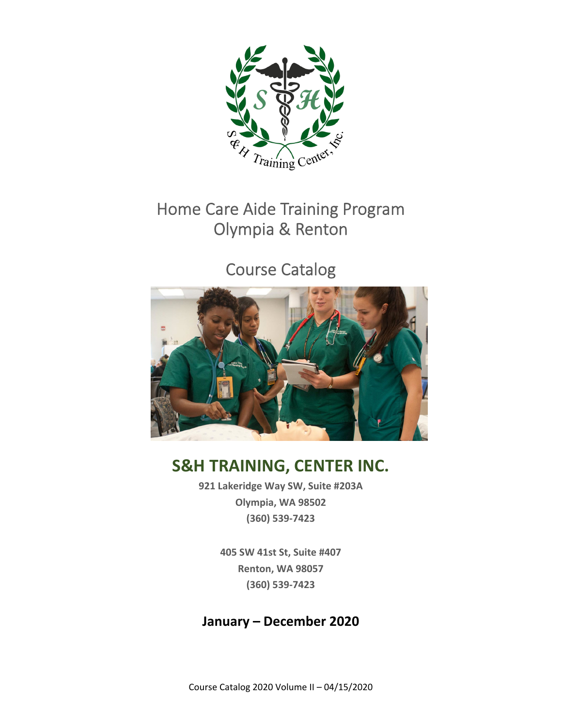

# Home Care Aide Training Program Olympia & Renton

# Course Catalog



## **S&H TRAINING, CENTER INC.**

**921 Lakeridge Way SW, Suite #203A Olympia, WA 98502 (360) 539‐7423**

> **405 SW 41st St, Suite #407 Renton, WA 98057 (360) 539‐7423**

#### **January – December 2020**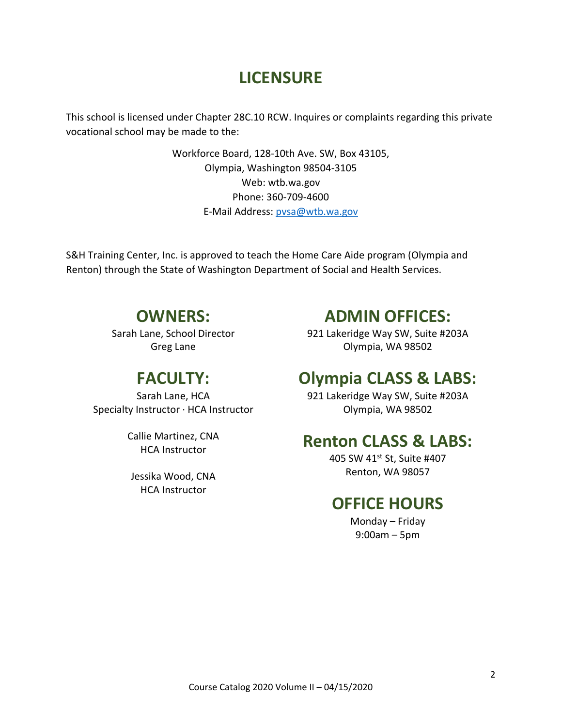### **LICENSURE**

This school is licensed under Chapter 28C.10 RCW. Inquires or complaints regarding this private vocational school may be made to the:

> Workforce Board, 128‐10th Ave. SW, Box 43105, Olympia, Washington 98504‐3105 Web: wtb.wa.gov Phone: 360‐709‐4600 E-Mail Address: pvsa@wtb.wa.gov

S&H Training Center, Inc. is approved to teach the Home Care Aide program (Olympia and Renton) through the State of Washington Department of Social and Health Services.

#### **OWNERS:**

Sarah Lane, School Director Greg Lane

### **FACULTY:**

Sarah Lane, HCA Specialty Instructor ∙ HCA Instructor

> Callie Martinez, CNA HCA Instructor

Jessika Wood, CNA HCA Instructor

### **ADMIN OFFICES:**

921 Lakeridge Way SW, Suite #203A Olympia, WA 98502

### **Olympia CLASS & LABS:**

921 Lakeridge Way SW, Suite #203A Olympia, WA 98502

### **Renton CLASS & LABS:**

405 SW 41st St, Suite #407 Renton, WA 98057

### **OFFICE HOURS**

Monday – Friday 9:00am – 5pm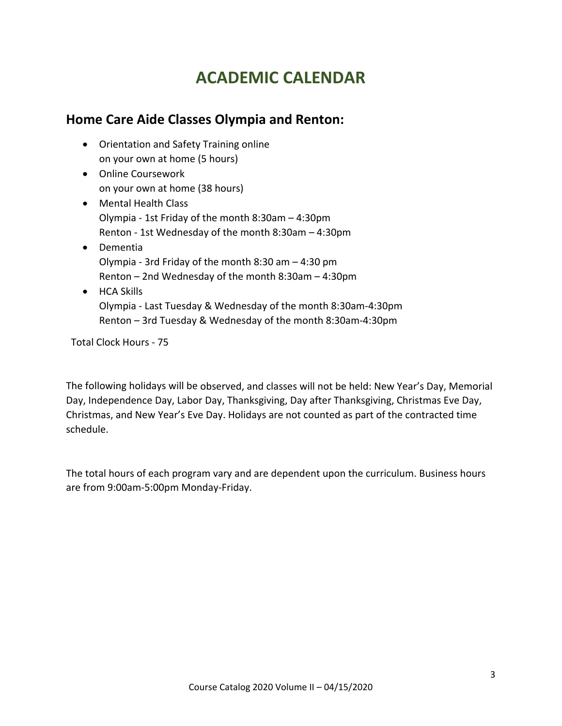## **ACADEMIC CALENDAR**

#### **Home Care Aide Classes Olympia and Renton:**

- Orientation and Safety Training online on your own at home (5 hours)
- Online Coursework on your own at home (38 hours)
- Mental Health Class Olympia ‐ 1st Friday of the month 8:30am – 4:30pm Renton ‐ 1st Wednesday of the month 8:30am – 4:30pm
- Dementia Olympia ‐ 3rd Friday of the month 8:30 am – 4:30 pm Renton – 2nd Wednesday of the month 8:30am – 4:30pm
- HCA Skills Olympia ‐ Last Tuesday & Wednesday of the month 8:30am‐4:30pm Renton – 3rd Tuesday & Wednesday of the month 8:30am‐4:30pm

Total Clock Hours ‐ 75

The following holidays will be observed, and classes will not be held: New Year's Day, Memorial Day, Independence Day, Labor Day, Thanksgiving, Day after Thanksgiving, Christmas Eve Day, Christmas, and New Year's Eve Day. Holidays are not counted as part of the contracted time schedule.

The total hours of each program vary and are dependent upon the curriculum. Business hours are from 9:00am‐5:00pm Monday‐Friday.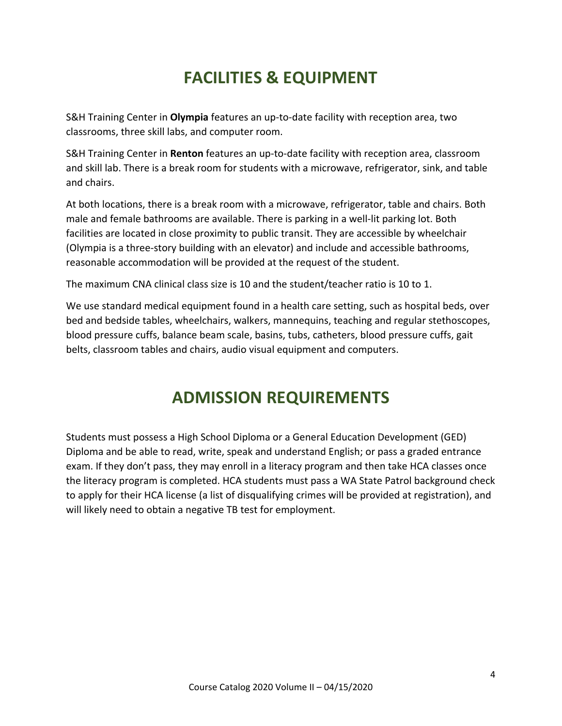# **FACILITIES & EQUIPMENT**

S&H Training Center in **Olympia** features an up‐to‐date facility with reception area, two classrooms, three skill labs, and computer room.

S&H Training Center in **Renton** features an up‐to‐date facility with reception area, classroom and skill lab. There is a break room for students with a microwave, refrigerator, sink, and table and chairs.

At both locations, there is a break room with a microwave, refrigerator, table and chairs. Both male and female bathrooms are available. There is parking in a well‐lit parking lot. Both facilities are located in close proximity to public transit. They are accessible by wheelchair (Olympia is a three‐story building with an elevator) and include and accessible bathrooms, reasonable accommodation will be provided at the request of the student.

The maximum CNA clinical class size is 10 and the student/teacher ratio is 10 to 1.

We use standard medical equipment found in a health care setting, such as hospital beds, over bed and bedside tables, wheelchairs, walkers, mannequins, teaching and regular stethoscopes, blood pressure cuffs, balance beam scale, basins, tubs, catheters, blood pressure cuffs, gait belts, classroom tables and chairs, audio visual equipment and computers.

### **ADMISSION REQUIREMENTS**

Students must possess a High School Diploma or a General Education Development (GED) Diploma and be able to read, write, speak and understand English; or pass a graded entrance exam. If they don't pass, they may enroll in a literacy program and then take HCA classes once the literacy program is completed. HCA students must pass a WA State Patrol background check to apply for their HCA license (a list of disqualifying crimes will be provided at registration), and will likely need to obtain a negative TB test for employment.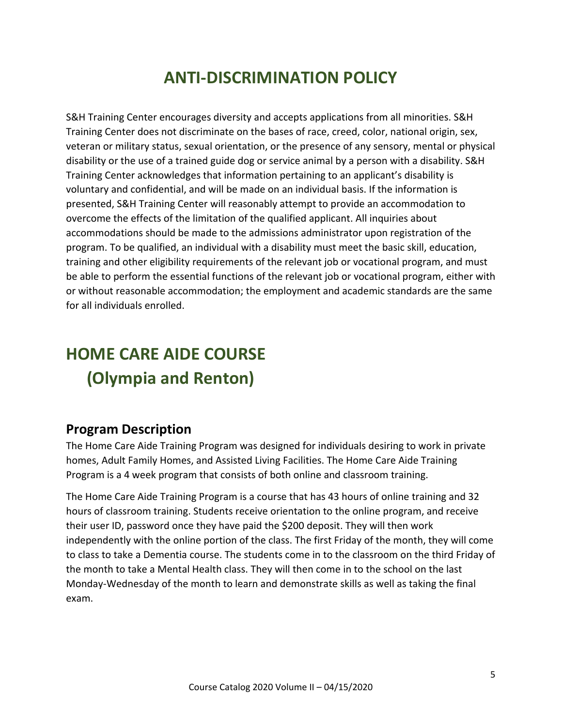## **ANTI‐DISCRIMINATION POLICY**

S&H Training Center encourages diversity and accepts applications from all minorities. S&H Training Center does not discriminate on the bases of race, creed, color, national origin, sex, veteran or military status, sexual orientation, or the presence of any sensory, mental or physical disability or the use of a trained guide dog or service animal by a person with a disability. S&H Training Center acknowledges that information pertaining to an applicant's disability is voluntary and confidential, and will be made on an individual basis. If the information is presented, S&H Training Center will reasonably attempt to provide an accommodation to overcome the effects of the limitation of the qualified applicant. All inquiries about accommodations should be made to the admissions administrator upon registration of the program. To be qualified, an individual with a disability must meet the basic skill, education, training and other eligibility requirements of the relevant job or vocational program, and must be able to perform the essential functions of the relevant job or vocational program, either with or without reasonable accommodation; the employment and academic standards are the same for all individuals enrolled.

# **HOME CARE AIDE COURSE (Olympia and Renton)**

#### **Program Description**

The Home Care Aide Training Program was designed for individuals desiring to work in private homes, Adult Family Homes, and Assisted Living Facilities. The Home Care Aide Training Program is a 4 week program that consists of both online and classroom training.

The Home Care Aide Training Program is a course that has 43 hours of online training and 32 hours of classroom training. Students receive orientation to the online program, and receive their user ID, password once they have paid the \$200 deposit. They will then work independently with the online portion of the class. The first Friday of the month, they will come to class to take a Dementia course. The students come in to the classroom on the third Friday of the month to take a Mental Health class. They will then come in to the school on the last Monday‐Wednesday of the month to learn and demonstrate skills as well as taking the final exam.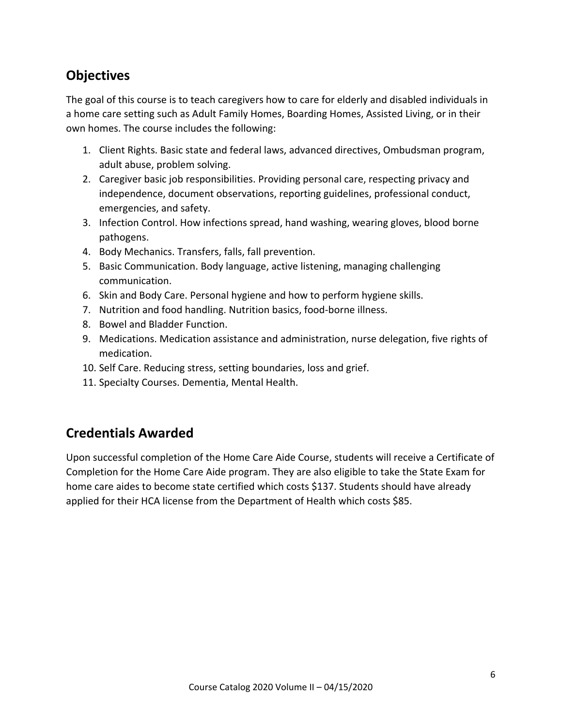#### **Objectives**

The goal of this course is to teach caregivers how to care for elderly and disabled individuals in a home care setting such as Adult Family Homes, Boarding Homes, Assisted Living, or in their own homes. The course includes the following:

- 1. Client Rights. Basic state and federal laws, advanced directives, Ombudsman program, adult abuse, problem solving.
- 2. Caregiver basic job responsibilities. Providing personal care, respecting privacy and independence, document observations, reporting guidelines, professional conduct, emergencies, and safety.
- 3. Infection Control. How infections spread, hand washing, wearing gloves, blood borne pathogens.
- 4. Body Mechanics. Transfers, falls, fall prevention.
- 5. Basic Communication. Body language, active listening, managing challenging communication.
- 6. Skin and Body Care. Personal hygiene and how to perform hygiene skills.
- 7. Nutrition and food handling. Nutrition basics, food‐borne illness.
- 8. Bowel and Bladder Function.
- 9. Medications. Medication assistance and administration, nurse delegation, five rights of medication.
- 10. Self Care. Reducing stress, setting boundaries, loss and grief.
- 11. Specialty Courses. Dementia, Mental Health.

#### **Credentials Awarded**

Upon successful completion of the Home Care Aide Course, students will receive a Certificate of Completion for the Home Care Aide program. They are also eligible to take the State Exam for home care aides to become state certified which costs \$137. Students should have already applied for their HCA license from the Department of Health which costs \$85.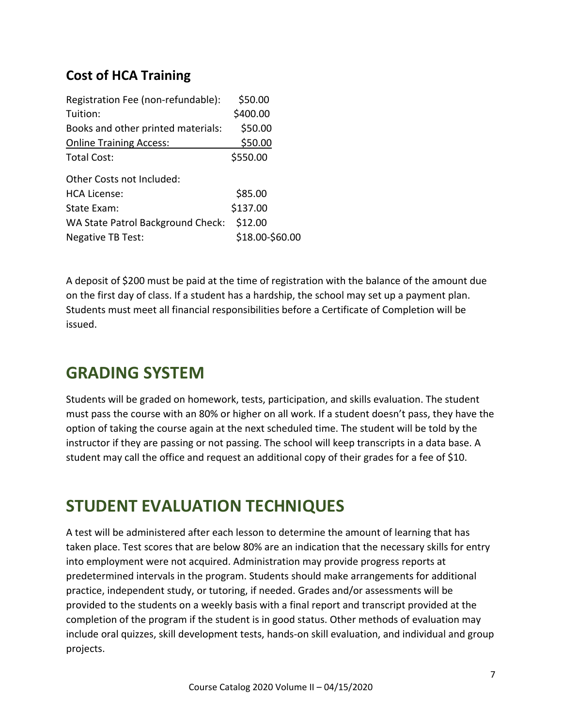### **Cost of HCA Training**

| Registration Fee (non-refundable): | \$50.00         |
|------------------------------------|-----------------|
| Tuition:                           | \$400.00        |
| Books and other printed materials: | \$50.00         |
| <b>Online Training Access:</b>     | \$50.00         |
| <b>Total Cost:</b>                 | \$550.00        |
| Other Costs not Included:          |                 |
| <b>HCA License:</b>                | \$85.00         |
| State Exam:                        | \$137.00        |
| WA State Patrol Background Check:  | \$12.00         |
| <b>Negative TB Test:</b>           | \$18.00-\$60.00 |

A deposit of \$200 must be paid at the time of registration with the balance of the amount due on the first day of class. If a student has a hardship, the school may set up a payment plan. Students must meet all financial responsibilities before a Certificate of Completion will be issued.

### **GRADING SYSTEM**

Students will be graded on homework, tests, participation, and skills evaluation. The student must pass the course with an 80% or higher on all work. If a student doesn't pass, they have the option of taking the course again at the next scheduled time. The student will be told by the instructor if they are passing or not passing. The school will keep transcripts in a data base. A student may call the office and request an additional copy of their grades for a fee of \$10.

### **STUDENT EVALUATION TECHNIQUES**

A test will be administered after each lesson to determine the amount of learning that has taken place. Test scores that are below 80% are an indication that the necessary skills for entry into employment were not acquired. Administration may provide progress reports at predetermined intervals in the program. Students should make arrangements for additional practice, independent study, or tutoring, if needed. Grades and/or assessments will be provided to the students on a weekly basis with a final report and transcript provided at the completion of the program if the student is in good status. Other methods of evaluation may include oral quizzes, skill development tests, hands‐on skill evaluation, and individual and group projects.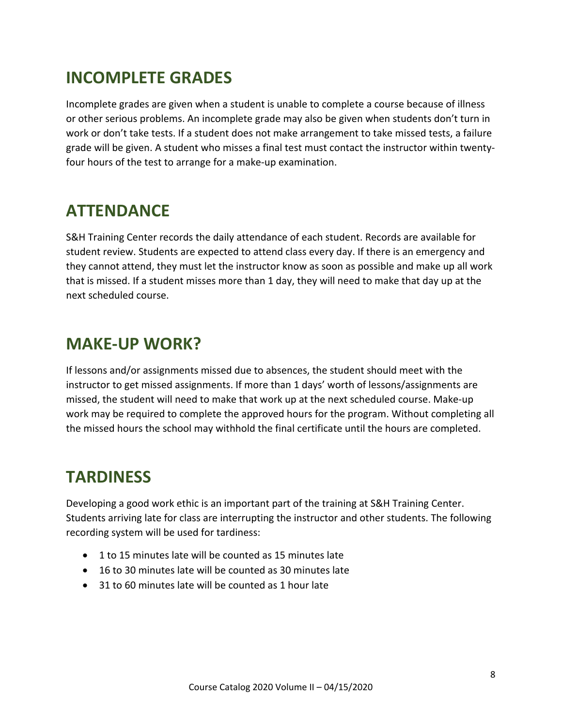### **INCOMPLETE GRADES**

Incomplete grades are given when a student is unable to complete a course because of illness or other serious problems. An incomplete grade may also be given when students don't turn in work or don't take tests. If a student does not make arrangement to take missed tests, a failure grade will be given. A student who misses a final test must contact the instructor within twenty‐ four hours of the test to arrange for a make‐up examination.

### **ATTENDANCE**

S&H Training Center records the daily attendance of each student. Records are available for student review. Students are expected to attend class every day. If there is an emergency and they cannot attend, they must let the instructor know as soon as possible and make up all work that is missed. If a student misses more than 1 day, they will need to make that day up at the next scheduled course.

### **MAKE‐UP WORK?**

If lessons and/or assignments missed due to absences, the student should meet with the instructor to get missed assignments. If more than 1 days' worth of lessons/assignments are missed, the student will need to make that work up at the next scheduled course. Make‐up work may be required to complete the approved hours for the program. Without completing all the missed hours the school may withhold the final certificate until the hours are completed.

### **TARDINESS**

Developing a good work ethic is an important part of the training at S&H Training Center. Students arriving late for class are interrupting the instructor and other students. The following recording system will be used for tardiness:

- 1 to 15 minutes late will be counted as 15 minutes late
- 16 to 30 minutes late will be counted as 30 minutes late
- 31 to 60 minutes late will be counted as 1 hour late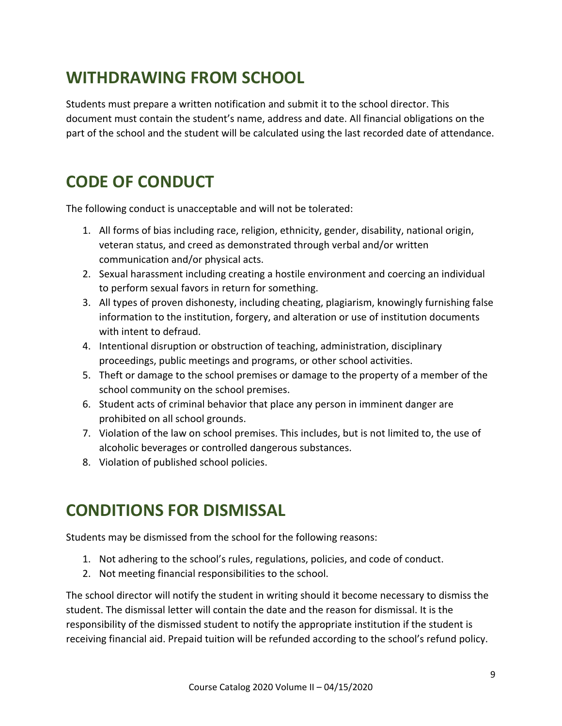### **WITHDRAWING FROM SCHOOL**

Students must prepare a written notification and submit it to the school director. This document must contain the student's name, address and date. All financial obligations on the part of the school and the student will be calculated using the last recorded date of attendance.

## **CODE OF CONDUCT**

The following conduct is unacceptable and will not be tolerated:

- 1. All forms of bias including race, religion, ethnicity, gender, disability, national origin, veteran status, and creed as demonstrated through verbal and/or written communication and/or physical acts.
- 2. Sexual harassment including creating a hostile environment and coercing an individual to perform sexual favors in return for something.
- 3. All types of proven dishonesty, including cheating, plagiarism, knowingly furnishing false information to the institution, forgery, and alteration or use of institution documents with intent to defraud.
- 4. Intentional disruption or obstruction of teaching, administration, disciplinary proceedings, public meetings and programs, or other school activities.
- 5. Theft or damage to the school premises or damage to the property of a member of the school community on the school premises.
- 6. Student acts of criminal behavior that place any person in imminent danger are prohibited on all school grounds.
- 7. Violation of the law on school premises. This includes, but is not limited to, the use of alcoholic beverages or controlled dangerous substances.
- 8. Violation of published school policies.

### **CONDITIONS FOR DISMISSAL**

Students may be dismissed from the school for the following reasons:

- 1. Not adhering to the school's rules, regulations, policies, and code of conduct.
- 2. Not meeting financial responsibilities to the school.

The school director will notify the student in writing should it become necessary to dismiss the student. The dismissal letter will contain the date and the reason for dismissal. It is the responsibility of the dismissed student to notify the appropriate institution if the student is receiving financial aid. Prepaid tuition will be refunded according to the school's refund policy.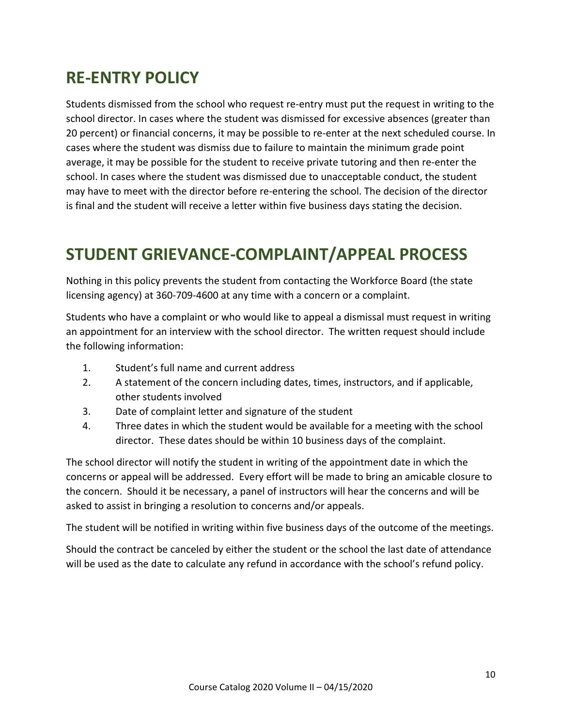### **RE‐ENTRY POLICY**

Students dismissed from the school who request re‐entry must put the request in writing to the school director. In cases where the student was dismissed for excessive absences (greater than 20 percent) or financial concerns, it may be possible to re-enter at the next scheduled course. In cases where the student was dismiss due to failure to maintain the minimum grade point average, it may be possible for the student to receive private tutoring and then re‐enter the school. In cases where the student was dismissed due to unacceptable conduct, the student may have to meet with the director before re-entering the school. The decision of the director is final and the student will receive a letter within five business days stating the decision.

## **STUDENT GRIEVANCE‐COMPLAINT/APPEAL PROCESS**

Nothing in this policy prevents the student from contacting the Workforce Board (the state licensing agency) at 360‐709‐4600 at any time with a concern or a complaint.

Students who have a complaint or who would like to appeal a dismissal must request in writing an appointment for an interview with the school director. The written request should include the following information:

- 1. Student's full name and current address
- 2. A statement of the concern including dates, times, instructors, and if applicable, other students involved
- 3. Date of complaint letter and signature of the student
- 4. Three dates in which the student would be available for a meeting with the school director. These dates should be within 10 business days of the complaint.

The school director will notify the student in writing of the appointment date in which the concerns or appeal will be addressed. Every effort will be made to bring an amicable closure to the concern. Should it be necessary, a panel of instructors will hear the concerns and will be asked to assist in bringing a resolution to concerns and/or appeals.

The student will be notified in writing within five business days of the outcome of the meetings.

Should the contract be canceled by either the student or the school the last date of attendance will be used as the date to calculate any refund in accordance with the school's refund policy.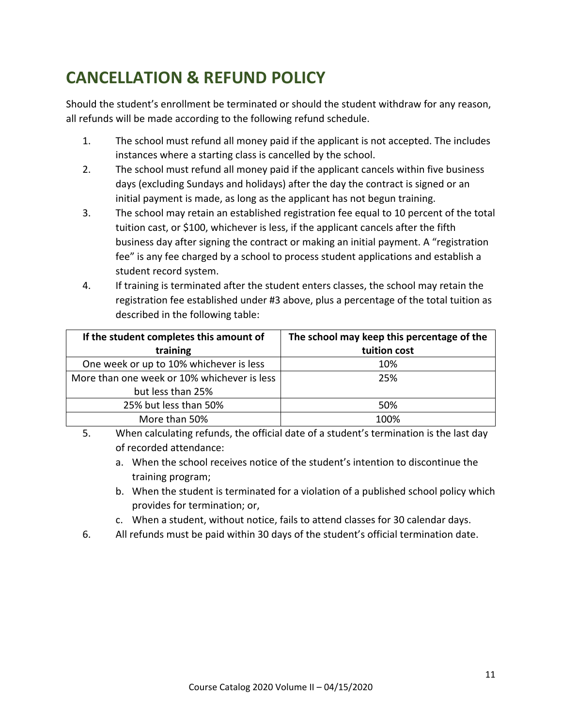# **CANCELLATION & REFUND POLICY**

Should the student's enrollment be terminated or should the student withdraw for any reason, all refunds will be made according to the following refund schedule.

- 1. The school must refund all money paid if the applicant is not accepted. The includes instances where a starting class is cancelled by the school.
- 2. The school must refund all money paid if the applicant cancels within five business days (excluding Sundays and holidays) after the day the contract is signed or an initial payment is made, as long as the applicant has not begun training.
- 3. The school may retain an established registration fee equal to 10 percent of the total tuition cast, or \$100, whichever is less, if the applicant cancels after the fifth business day after signing the contract or making an initial payment. A "registration fee" is any fee charged by a school to process student applications and establish a student record system.
- 4. If training is terminated after the student enters classes, the school may retain the registration fee established under #3 above, plus a percentage of the total tuition as described in the following table:

| If the student completes this amount of     | The school may keep this percentage of the |
|---------------------------------------------|--------------------------------------------|
| training                                    | tuition cost                               |
| One week or up to 10% whichever is less     | 10%                                        |
| More than one week or 10% whichever is less | 25%                                        |
| but less than 25%                           |                                            |
| 25% but less than 50%                       | 50%                                        |
| More than 50%                               | 100%                                       |

- 5. When calculating refunds, the official date of a student's termination is the last day of recorded attendance:
	- a. When the school receives notice of the student's intention to discontinue the training program;
	- b. When the student is terminated for a violation of a published school policy which provides for termination; or,
	- c. When a student, without notice, fails to attend classes for 30 calendar days.
- 6. All refunds must be paid within 30 days of the student's official termination date.